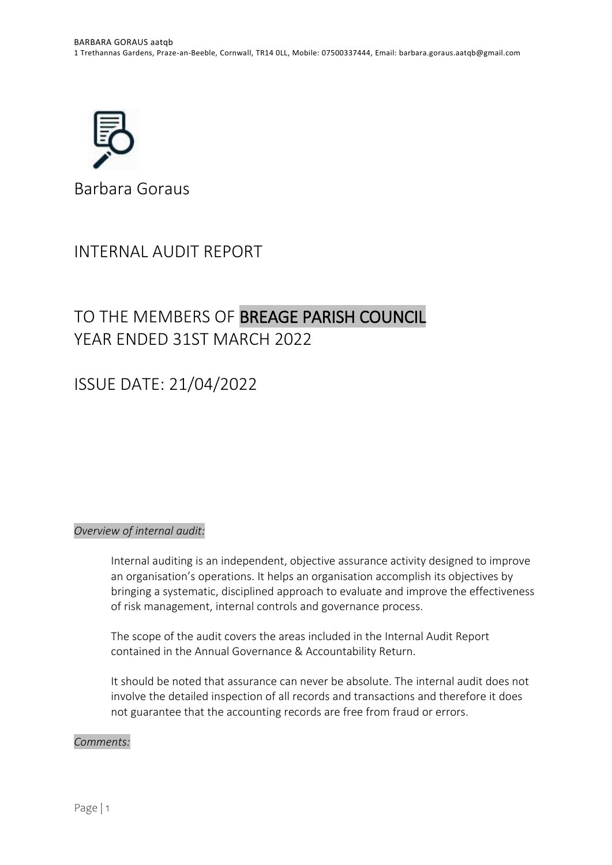

Barbara Goraus

# INTERNAL AUDIT REPORT

# TO THE MEMBERS OF BREAGE PARISH COUNCIL YEAR ENDED 31ST MARCH 2022

# ISSUE DATE: 21/04/2022

# *Overview of internal audit:*

Internal auditing is an independent, objective assurance activity designed to improve an organisation's operations. It helps an organisation accomplish its objectives by bringing a systematic, disciplined approach to evaluate and improve the effectiveness of risk management, internal controls and governance process.

The scope of the audit covers the areas included in the Internal Audit Report contained in the Annual Governance & Accountability Return.

It should be noted that assurance can never be absolute. The internal audit does not involve the detailed inspection of all records and transactions and therefore it does not guarantee that the accounting records are free from fraud or errors.

## *Comments:*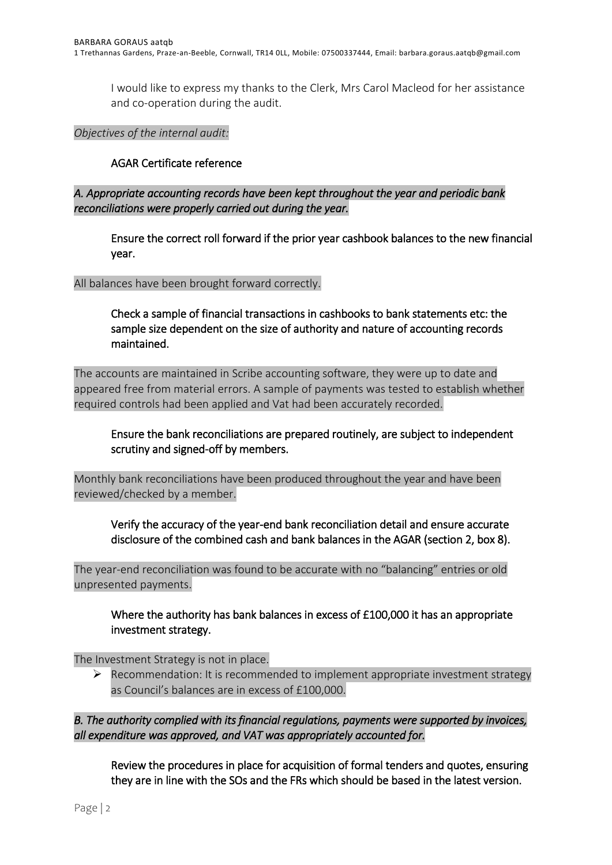I would like to express my thanks to the Clerk, Mrs Carol Macleod for her assistance and co-operation during the audit.

## *Objectives of the internal audit:*

## AGAR Certificate reference

*A. Appropriate accounting records have been kept throughout the year and periodic bank reconciliations were properly carried out during the year.* 

Ensure the correct roll forward if the prior year cashbook balances to the new financial year.

### All balances have been brought forward correctly.

Check a sample of financial transactions in cashbooks to bank statements etc: the sample size dependent on the size of authority and nature of accounting records maintained.

The accounts are maintained in Scribe accounting software, they were up to date and appeared free from material errors. A sample of payments was tested to establish whether required controls had been applied and Vat had been accurately recorded.

Ensure the bank reconciliations are prepared routinely, are subject to independent scrutiny and signed-off by members.

Monthly bank reconciliations have been produced throughout the year and have been reviewed/checked by a member.

Verify the accuracy of the year-end bank reconciliation detail and ensure accurate disclosure of the combined cash and bank balances in the AGAR (section 2, box 8).

The year-end reconciliation was found to be accurate with no "balancing" entries or old unpresented payments.

Where the authority has bank balances in excess of £100,000 it has an appropriate investment strategy.

The Investment Strategy is not in place.

 $\triangleright$  Recommendation: It is recommended to implement appropriate investment strategy as Council's balances are in excess of £100,000.

*B. The authority complied with its financial regulations, payments were supported by invoices, all expenditure was approved, and VAT was appropriately accounted for.* 

Review the procedures in place for acquisition of formal tenders and quotes, ensuring they are in line with the SOs and the FRs which should be based in the latest version.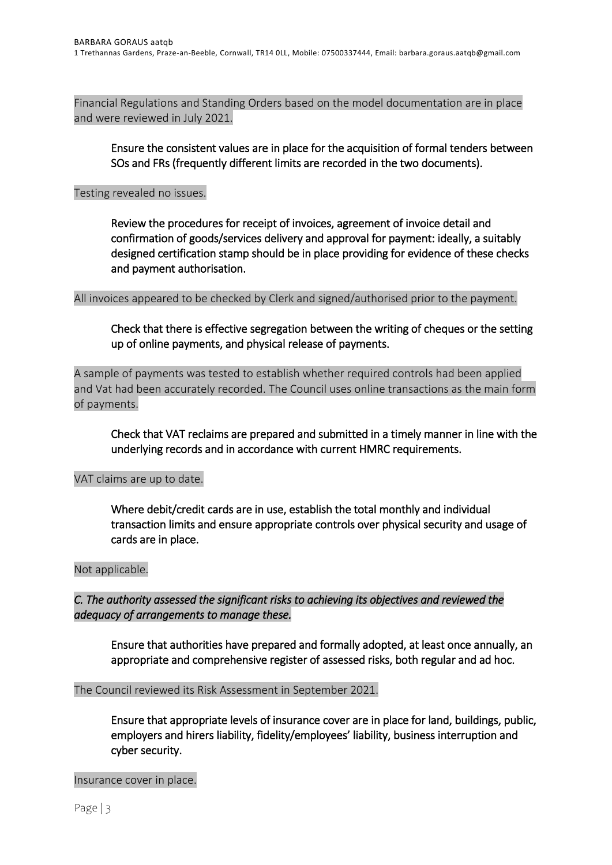Financial Regulations and Standing Orders based on the model documentation are in place and were reviewed in July 2021.

Ensure the consistent values are in place for the acquisition of formal tenders between SOs and FRs (frequently different limits are recorded in the two documents).

## Testing revealed no issues.

Review the procedures for receipt of invoices, agreement of invoice detail and confirmation of goods/services delivery and approval for payment: ideally, a suitably designed certification stamp should be in place providing for evidence of these checks and payment authorisation.

All invoices appeared to be checked by Clerk and signed/authorised prior to the payment.

# Check that there is effective segregation between the writing of cheques or the setting up of online payments, and physical release of payments.

A sample of payments was tested to establish whether required controls had been applied and Vat had been accurately recorded. The Council uses online transactions as the main form of payments.

Check that VAT reclaims are prepared and submitted in a timely manner in line with the underlying records and in accordance with current HMRC requirements.

## VAT claims are up to date.

Where debit/credit cards are in use, establish the total monthly and individual transaction limits and ensure appropriate controls over physical security and usage of cards are in place.

## Not applicable.

*C. The authority assessed the significant risks to achieving its objectives and reviewed the adequacy of arrangements to manage these.* 

Ensure that authorities have prepared and formally adopted, at least once annually, an appropriate and comprehensive register of assessed risks, both regular and ad hoc.

The Council reviewed its Risk Assessment in September 2021.

Ensure that appropriate levels of insurance cover are in place for land, buildings, public, employers and hirers liability, fidelity/employees' liability, business interruption and cyber security.

Insurance cover in place.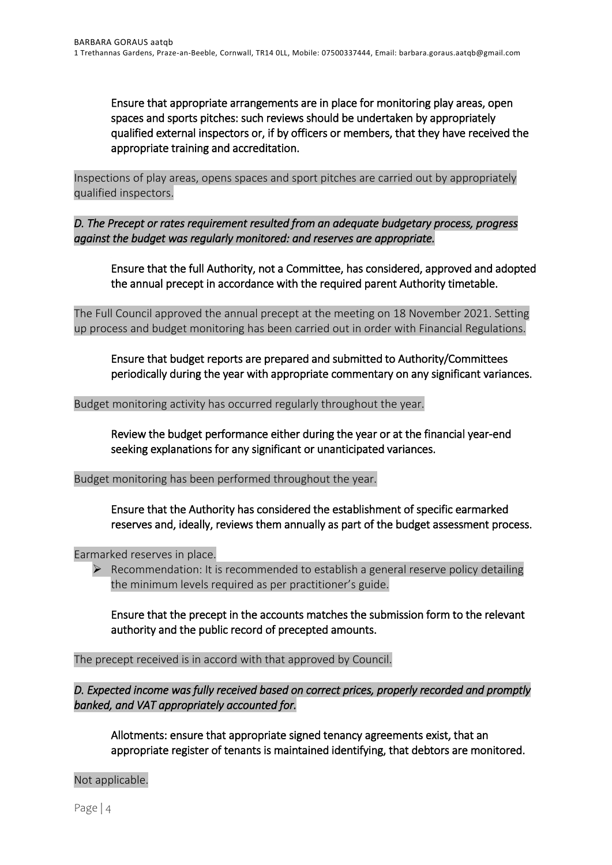Ensure that appropriate arrangements are in place for monitoring play areas, open spaces and sports pitches: such reviews should be undertaken by appropriately qualified external inspectors or, if by officers or members, that they have received the appropriate training and accreditation.

Inspections of play areas, opens spaces and sport pitches are carried out by appropriately qualified inspectors.

*D. The Precept or rates requirement resulted from an adequate budgetary process, progress against the budget was regularly monitored: and reserves are appropriate.* 

Ensure that the full Authority, not a Committee, has considered, approved and adopted the annual precept in accordance with the required parent Authority timetable.

The Full Council approved the annual precept at the meeting on 18 November 2021. Setting up process and budget monitoring has been carried out in order with Financial Regulations.

Ensure that budget reports are prepared and submitted to Authority/Committees periodically during the year with appropriate commentary on any significant variances.

Budget monitoring activity has occurred regularly throughout the year.

Review the budget performance either during the year or at the financial year-end seeking explanations for any significant or unanticipated variances.

Budget monitoring has been performed throughout the year.

Ensure that the Authority has considered the establishment of specific earmarked reserves and, ideally, reviews them annually as part of the budget assessment process.

Earmarked reserves in place.

 $\triangleright$  Recommendation: It is recommended to establish a general reserve policy detailing the minimum levels required as per practitioner's guide.

Ensure that the precept in the accounts matches the submission form to the relevant authority and the public record of precepted amounts.

The precept received is in accord with that approved by Council.

*D. Expected income was fully received based on correct prices, properly recorded and promptly banked, and VAT appropriately accounted for.* 

Allotments: ensure that appropriate signed tenancy agreements exist, that an appropriate register of tenants is maintained identifying, that debtors are monitored.

Not applicable.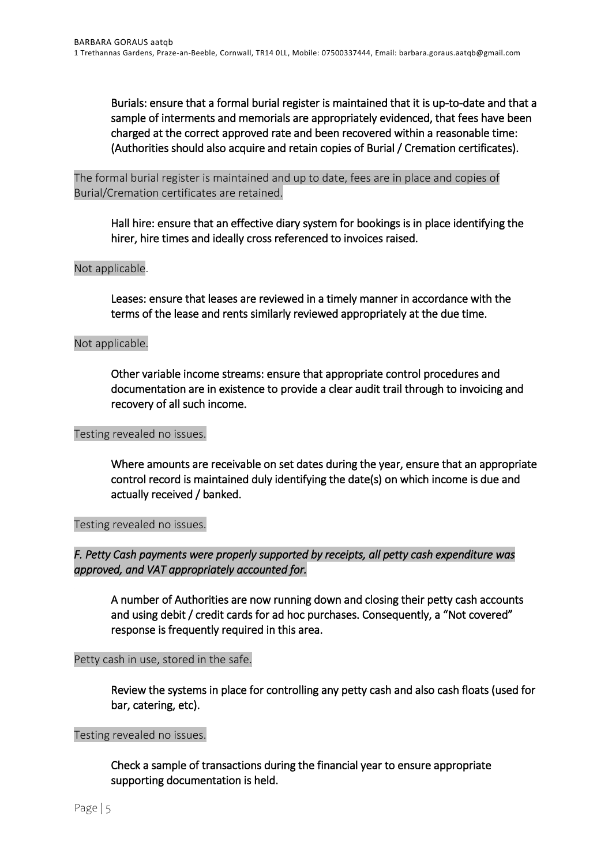Burials: ensure that a formal burial register is maintained that it is up-to-date and that a sample of interments and memorials are appropriately evidenced, that fees have been charged at the correct approved rate and been recovered within a reasonable time: (Authorities should also acquire and retain copies of Burial / Cremation certificates).

The formal burial register is maintained and up to date, fees are in place and copies of Burial/Cremation certificates are retained.

Hall hire: ensure that an effective diary system for bookings is in place identifying the hirer, hire times and ideally cross referenced to invoices raised.

## Not applicable.

Leases: ensure that leases are reviewed in a timely manner in accordance with the terms of the lease and rents similarly reviewed appropriately at the due time.

### Not applicable.

Other variable income streams: ensure that appropriate control procedures and documentation are in existence to provide a clear audit trail through to invoicing and recovery of all such income.

#### Testing revealed no issues.

Where amounts are receivable on set dates during the year, ensure that an appropriate control record is maintained duly identifying the date(s) on which income is due and actually received / banked.

Testing revealed no issues.

# *F. Petty Cash payments were properly supported by receipts, all petty cash expenditure was approved, and VAT appropriately accounted for.*

A number of Authorities are now running down and closing their petty cash accounts and using debit / credit cards for ad hoc purchases. Consequently, a "Not covered" response is frequently required in this area.

#### Petty cash in use, stored in the safe.

Review the systems in place for controlling any petty cash and also cash floats (used for bar, catering, etc).

#### Testing revealed no issues.

Check a sample of transactions during the financial year to ensure appropriate supporting documentation is held.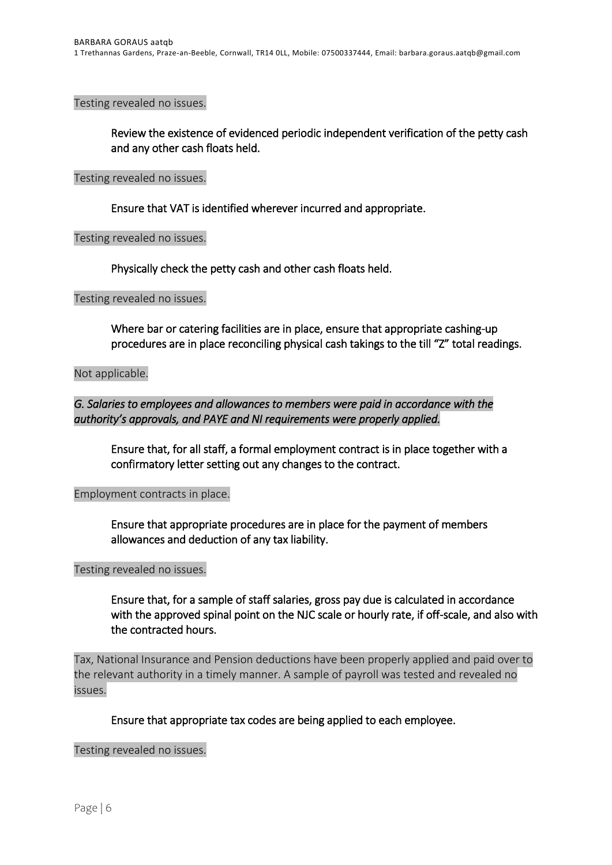Testing revealed no issues.

Review the existence of evidenced periodic independent verification of the petty cash and any other cash floats held.

#### Testing revealed no issues.

Ensure that VAT is identified wherever incurred and appropriate.

#### Testing revealed no issues.

Physically check the petty cash and other cash floats held.

Testing revealed no issues.

Where bar or catering facilities are in place, ensure that appropriate cashing-up procedures are in place reconciling physical cash takings to the till "Z" total readings.

Not applicable.

## *G. Salaries to employees and allowances to members were paid in accordance with the authority's approvals, and PAYE and NI requirements were properly applied.*

Ensure that, for all staff, a formal employment contract is in place together with a confirmatory letter setting out any changes to the contract.

#### Employment contracts in place.

Ensure that appropriate procedures are in place for the payment of members allowances and deduction of any tax liability.

#### Testing revealed no issues.

Ensure that, for a sample of staff salaries, gross pay due is calculated in accordance with the approved spinal point on the NJC scale or hourly rate, if off-scale, and also with the contracted hours.

Tax, National Insurance and Pension deductions have been properly applied and paid over to the relevant authority in a timely manner. A sample of payroll was tested and revealed no issues.

#### Ensure that appropriate tax codes are being applied to each employee.

#### Testing revealed no issues.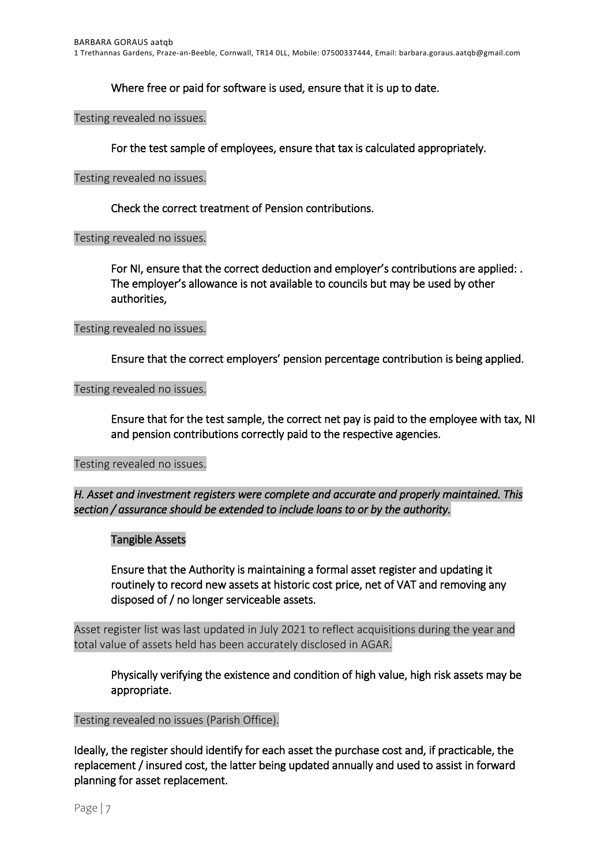Where free or paid for software is used, ensure that it is up to date.

Testing revealed no issues.

For the test sample of employees, ensure that tax is calculated appropriately.

#### Testing revealed no issues.

Check the correct treatment of Pension contributions.

#### Testing revealed no issues.

For NI, ensure that the correct deduction and employer's contributions are applied: . The employer's allowance is not available to councils but may be used by other authorities,

#### Testing revealed no issues.

Ensure that the correct employers' pension percentage contribution is being applied.

Testing revealed no issues.

Ensure that for the test sample, the correct net pay is paid to the employee with tax, NI and pension contributions correctly paid to the respective agencies.

#### Testing revealed no issues.

*H. Asset and investment registers were complete and accurate and properly maintained. This section / assurance should be extended to include loans to or by the authority.* 

#### Tangible Assets

Ensure that the Authority is maintaining a formal asset register and updating it routinely to record new assets at historic cost price, net of VAT and removing any disposed of / no longer serviceable assets.

Asset register list was last updated in July 2021 to reflect acquisitions during the year and total value of assets held has been accurately disclosed in AGAR.

Physically verifying the existence and condition of high value, high risk assets may be appropriate.

#### Testing revealed no issues (Parish Office).

Ideally, the register should identify for each asset the purchase cost and, if practicable, the replacement / insured cost, the latter being updated annually and used to assist in forward planning for asset replacement.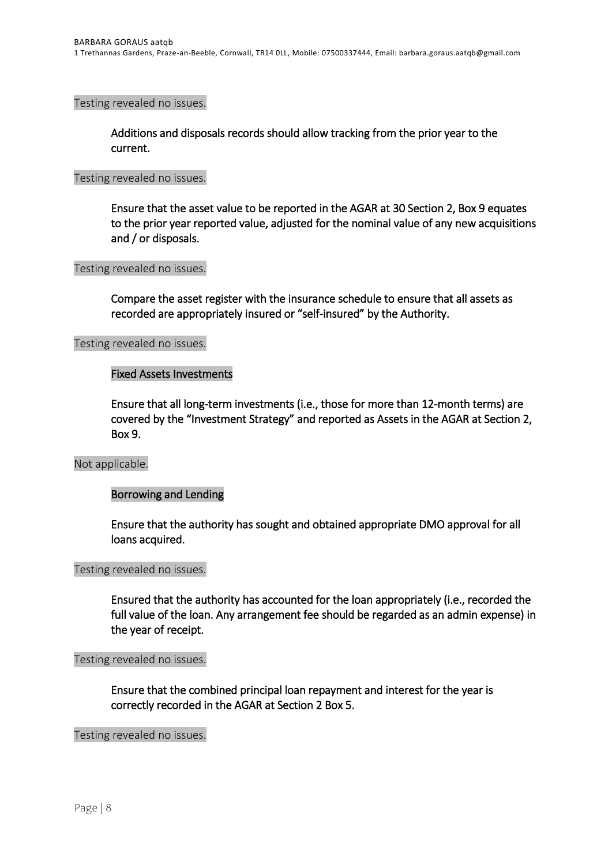Testing revealed no issues.

Additions and disposals records should allow tracking from the prior year to the current.

#### Testing revealed no issues.

Ensure that the asset value to be reported in the AGAR at 30 Section 2, Box 9 equates to the prior year reported value, adjusted for the nominal value of any new acquisitions and / or disposals.

#### Testing revealed no issues.

Compare the asset register with the insurance schedule to ensure that all assets as recorded are appropriately insured or "self-insured" by the Authority.

Testing revealed no issues.

### Fixed Assets Investments

Ensure that all long-term investments (i.e., those for more than 12-month terms) are covered by the "Investment Strategy" and reported as Assets in the AGAR at Section 2, Box 9.

#### Not applicable.

#### Borrowing and Lending

Ensure that the authority has sought and obtained appropriate DMO approval for all loans acquired.

#### Testing revealed no issues.

Ensured that the authority has accounted for the loan appropriately (i.e., recorded the full value of the loan. Any arrangement fee should be regarded as an admin expense) in the year of receipt.

Testing revealed no issues.

Ensure that the combined principal loan repayment and interest for the year is correctly recorded in the AGAR at Section 2 Box 5.

Testing revealed no issues.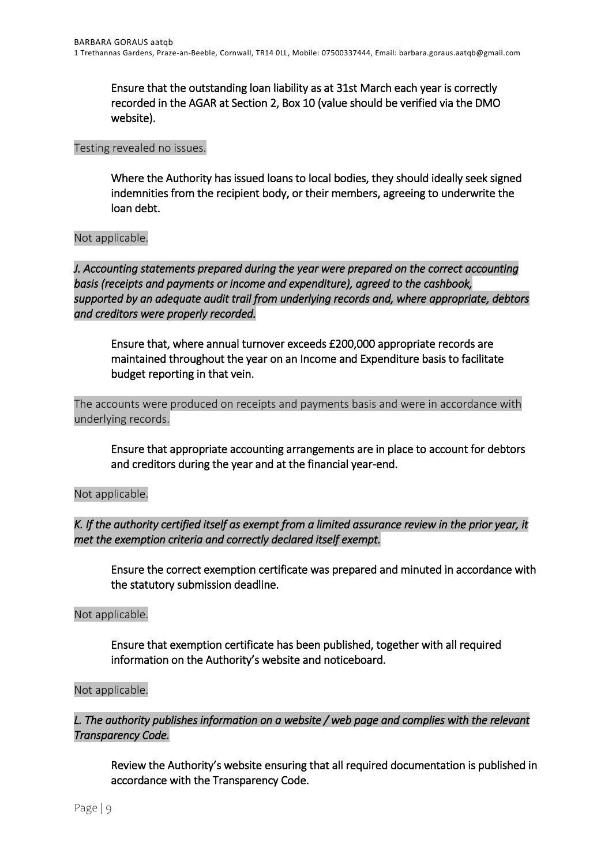Ensure that the outstanding loan liability as at 31st March each year is correctly recorded in the AGAR at Section 2, Box 10 (value should be verified via the DMO website).

## Testing revealed no issues.

Where the Authority has issued loans to local bodies, they should ideally seek signed indemnities from the recipient body, or their members, agreeing to underwrite the loan debt.

## Not applicable.

*J. Accounting statements prepared during the year were prepared on the correct accounting basis (receipts and payments or income and expenditure), agreed to the cashbook, supported by an adequate audit trail from underlying records and, where appropriate, debtors and creditors were properly recorded.* 

Ensure that, where annual turnover exceeds £200,000 appropriate records are maintained throughout the year on an Income and Expenditure basis to facilitate budget reporting in that vein.

The accounts were produced on receipts and payments basis and were in accordance with underlying records.

Ensure that appropriate accounting arrangements are in place to account for debtors and creditors during the year and at the financial year-end.

Not applicable.

*K. If the authority certified itself as exempt from a limited assurance review in the prior year, it met the exemption criteria and correctly declared itself exempt.* 

Ensure the correct exemption certificate was prepared and minuted in accordance with the statutory submission deadline.

#### Not applicable.

 Ensure that exemption certificate has been published, together with all required information on the Authority's website and noticeboard.

#### Not applicable.

# *L. The authority publishes information on a website / web page and complies with the relevant Transparency Code.*

Review the Authority's website ensuring that all required documentation is published in accordance with the Transparency Code.